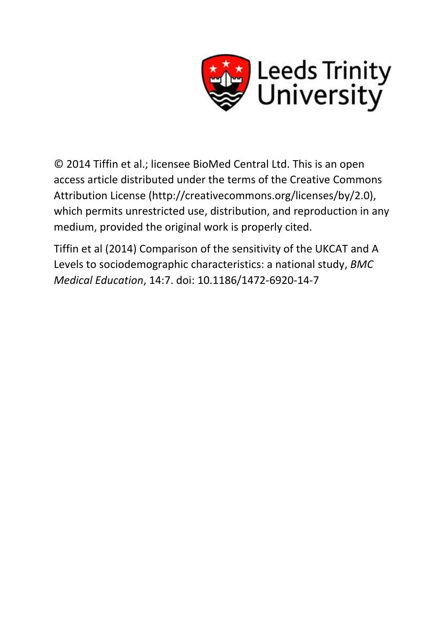

© 2014 Tiffin et al.; licensee BioMed Central Ltd. This is an open access article distributed under the terms of the Creative Commons Attribution License (http://creativecommons.org/licenses/by/2.0), which permits unrestricted use, distribution, and reproduction in any medium, provided the original work is properly cited.

Tiffin et al (2014) Comparison of the sensitivity of the UKCAT and A Levels to sociodemographic characteristics: a national study, *BMC Medical Education*, 14:7. doi: 10.1186/1472-6920-14-7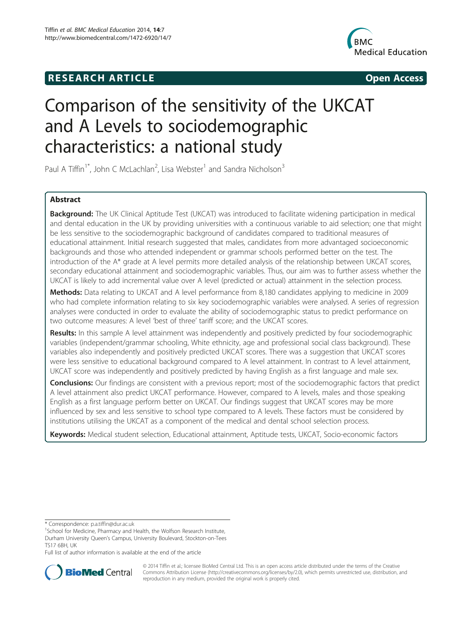## **RESEARCH ARTICLE Example 2014 The SEAR CH ACCESS**



# Comparison of the sensitivity of the UKCAT and A Levels to sociodemographic characteristics: a national study

Paul A Tiffin<sup>1\*</sup>, John C McLachlan<sup>2</sup>, Lisa Webster<sup>1</sup> and Sandra Nicholson<sup>3</sup>

## Abstract

Background: The UK Clinical Aptitude Test (UKCAT) was introduced to facilitate widening participation in medical and dental education in the UK by providing universities with a continuous variable to aid selection; one that might be less sensitive to the sociodemographic background of candidates compared to traditional measures of educational attainment. Initial research suggested that males, candidates from more advantaged socioeconomic backgrounds and those who attended independent or grammar schools performed better on the test. The introduction of the A\* grade at A level permits more detailed analysis of the relationship between UKCAT scores, secondary educational attainment and sociodemographic variables. Thus, our aim was to further assess whether the UKCAT is likely to add incremental value over A level (predicted or actual) attainment in the selection process.

Methods: Data relating to UKCAT and A level performance from 8,180 candidates applying to medicine in 2009 who had complete information relating to six key sociodemographic variables were analysed. A series of regression analyses were conducted in order to evaluate the ability of sociodemographic status to predict performance on two outcome measures: A level 'best of three' tariff score; and the UKCAT scores.

Results: In this sample A level attainment was independently and positively predicted by four sociodemographic variables (independent/grammar schooling, White ethnicity, age and professional social class background). These variables also independently and positively predicted UKCAT scores. There was a suggestion that UKCAT scores were less sensitive to educational background compared to A level attainment. In contrast to A level attainment, UKCAT score was independently and positively predicted by having English as a first language and male sex.

Conclusions: Our findings are consistent with a previous report; most of the sociodemographic factors that predict A level attainment also predict UKCAT performance. However, compared to A levels, males and those speaking English as a first language perform better on UKCAT. Our findings suggest that UKCAT scores may be more influenced by sex and less sensitive to school type compared to A levels. These factors must be considered by institutions utilising the UKCAT as a component of the medical and dental school selection process.

Keywords: Medical student selection, Educational attainment, Aptitude tests, UKCAT, Socio-economic factors

\* Correspondence: [p.a.tiffin@dur.ac.uk](mailto:p.a.tiffin@dur.ac.uk) <sup>1</sup>

<sup>1</sup>School for Medicine, Pharmacy and Health, the Wolfson Research Institute, Durham University Queen's Campus, University Boulevard, Stockton-on-Tees TS17 6BH, UK

Full list of author information is available at the end of the article



© 2014 Tiffin et al.; licensee BioMed Central Ltd. This is an open access article distributed under the terms of the Creative Commons Attribution License [\(http://creativecommons.org/licenses/by/2.0\)](http://creativecommons.org/licenses/by/2.0), which permits unrestricted use, distribution, and reproduction in any medium, provided the original work is properly cited.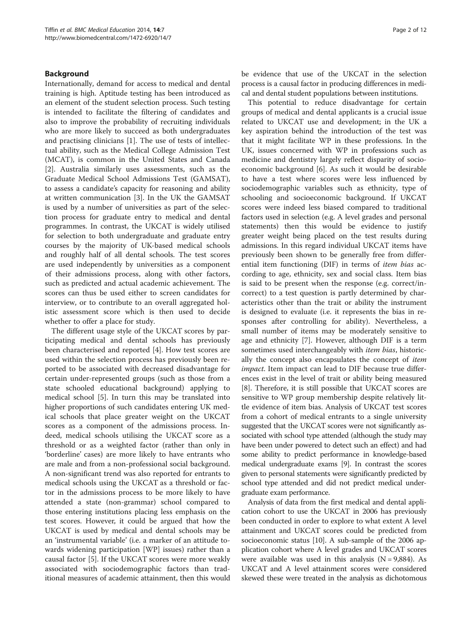#### Background

Internationally, demand for access to medical and dental training is high. Aptitude testing has been introduced as an element of the student selection process. Such testing is intended to facilitate the filtering of candidates and also to improve the probability of recruiting individuals who are more likely to succeed as both undergraduates and practising clinicians [[1\]](#page-12-0). The use of tests of intellectual ability, such as the Medical College Admission Test (MCAT), is common in the United States and Canada [[2\]](#page-12-0). Australia similarly uses assessments, such as the Graduate Medical School Admissions Test (GAMSAT), to assess a candidate's capacity for reasoning and ability at written communication [\[3\]](#page-12-0). In the UK the GAMSAT is used by a number of universities as part of the selection process for graduate entry to medical and dental programmes. In contrast, the UKCAT is widely utilised for selection to both undergraduate and graduate entry courses by the majority of UK-based medical schools and roughly half of all dental schools. The test scores are used independently by universities as a component of their admissions process, along with other factors, such as predicted and actual academic achievement. The scores can thus be used either to screen candidates for interview, or to contribute to an overall aggregated holistic assessment score which is then used to decide whether to offer a place for study.

The different usage style of the UKCAT scores by participating medical and dental schools has previously been characterised and reported [[4\]](#page-12-0). How test scores are used within the selection process has previously been reported to be associated with decreased disadvantage for certain under-represented groups (such as those from a state schooled educational background) applying to medical school [\[5](#page-12-0)]. In turn this may be translated into higher proportions of such candidates entering UK medical schools that place greater weight on the UKCAT scores as a component of the admissions process. Indeed, medical schools utilising the UKCAT score as a threshold or as a weighted factor (rather than only in 'borderline' cases) are more likely to have entrants who are male and from a non-professional social background. A non-significant trend was also reported for entrants to medical schools using the UKCAT as a threshold or factor in the admissions process to be more likely to have attended a state (non-grammar) school compared to those entering institutions placing less emphasis on the test scores. However, it could be argued that how the UKCAT is used by medical and dental schools may be an 'instrumental variable' (i.e. a marker of an attitude towards widening participation [WP] issues) rather than a causal factor [\[5](#page-12-0)]. If the UKCAT scores were more weakly associated with sociodemographic factors than traditional measures of academic attainment, then this would be evidence that use of the UKCAT in the selection process is a causal factor in producing differences in medical and dental student populations between institutions.

This potential to reduce disadvantage for certain groups of medical and dental applicants is a crucial issue related to UKCAT use and development; in the UK a key aspiration behind the introduction of the test was that it might facilitate WP in these professions. In the UK, issues concerned with WP in professions such as medicine and dentistry largely reflect disparity of socioeconomic background [\[6](#page-12-0)]. As such it would be desirable to have a test where scores were less influenced by sociodemographic variables such as ethnicity, type of schooling and socioeconomic background. If UKCAT scores were indeed less biased compared to traditional factors used in selection (e.g. A level grades and personal statements) then this would be evidence to justify greater weight being placed on the test results during admissions. In this regard individual UKCAT items have previously been shown to be generally free from differential item functioning (DIF) in terms of item bias according to age, ethnicity, sex and social class. Item bias is said to be present when the response (e.g. correct/incorrect) to a test question is partly determined by characteristics other than the trait or ability the instrument is designed to evaluate (i.e. it represents the bias in responses after controlling for ability). Nevertheless, a small number of items may be moderately sensitive to age and ethnicity [\[7\]](#page-12-0). However, although DIF is a term sometimes used interchangeably with *item bias*, historically the concept also encapsulates the concept of item impact. Item impact can lead to DIF because true differences exist in the level of trait or ability being measured [[8\]](#page-12-0). Therefore, it is still possible that UKCAT scores are sensitive to WP group membership despite relatively little evidence of item bias. Analysis of UKCAT test scores from a cohort of medical entrants to a single university suggested that the UKCAT scores were not significantly associated with school type attended (although the study may have been under powered to detect such an effect) and had some ability to predict performance in knowledge-based medical undergraduate exams [[9](#page-12-0)]. In contrast the scores given to personal statements were significantly predicted by school type attended and did not predict medical undergraduate exam performance.

Analysis of data from the first medical and dental application cohort to use the UKCAT in 2006 has previously been conducted in order to explore to what extent A level attainment and UKCAT scores could be predicted from socioeconomic status [\[10\]](#page-12-0). A sub-sample of the 2006 application cohort where A level grades and UKCAT scores were available was used in this analysis  $(N = 9,884)$ . As UKCAT and A level attainment scores were considered skewed these were treated in the analysis as dichotomous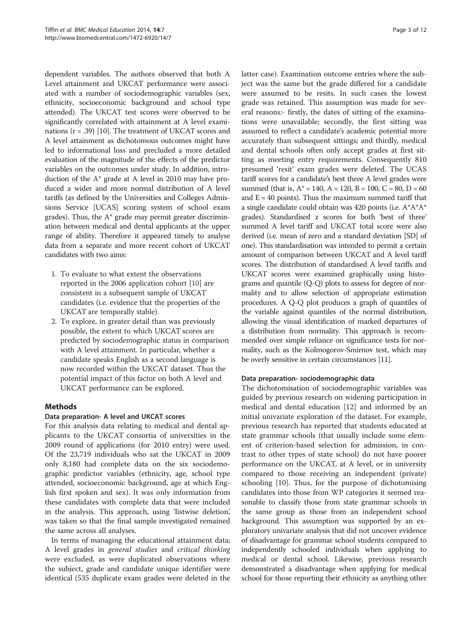dependent variables. The authors observed that both A Level attainment and UKCAT performance were associated with a number of sociodemographic variables (sex, ethnicity, socioeconomic background and school type attended). The UKCAT test scores were observed to be significantly correlated with attainment at A level examinations (r = .39) [\[10\]](#page-12-0). The treatment of UKCAT scores and A level attainment as dichotomous outcomes might have led to informational loss and precluded a more detailed evaluation of the magnitude of the effects of the predictor variables on the outcomes under study. In addition, introduction of the A\* grade at A level in 2010 may have produced a wider and more normal distribution of A level tariffs (as defined by the Universities and Colleges Admissions Service [UCAS] scoring system of school exam grades). Thus, the A\* grade may permit greater discrimination between medical and dental applicants at the upper range of ability. Therefore it appeared timely to analyse data from a separate and more recent cohort of UKCAT candidates with two aims:

- 1. To evaluate to what extent the observations reported in the 2006 application cohort [[10\]](#page-12-0) are consistent in a subsequent sample of UKCAT candidates (i.e. evidence that the properties of the UKCAT are temporally stable).
- 2. To explore, in greater detail than was previously possible, the extent to which UKCAT scores are predicted by sociodemographic status in comparison with A level attainment. In particular, whether a candidate speaks English as a second language is now recorded within the UKCAT dataset. Thus the potential impact of this factor on both A level and UKCAT performance can be explored.

## Methods

## Data preparation- A level and UKCAT scores

For this analysis data relating to medical and dental applicants to the UKCAT consortia of universities in the 2009 round of applications (for 2010 entry) were used. Of the 23,719 individuals who sat the UKCAT in 2009 only 8,180 had complete data on the six sociodemographic predictor variables (ethnicity, age, school type attended, socioeconomic background, age at which English first spoken and sex). It was only information from these candidates with complete data that were included in the analysis. This approach, using 'listwise deletion', was taken so that the final sample investigated remained the same across all analyses.

In terms of managing the educational attainment data; A level grades in general studies and critical thinking were excluded, as were duplicated observations where the subject, grade and candidate unique identifier were identical (535 duplicate exam grades were deleted in the latter case). Examination outcome entries where the subject was the same but the grade differed for a candidate were assumed to be resits. In such cases the lowest grade was retained. This assumption was made for several reasons:- firstly, the dates of sitting of the examinations were unavailable; secondly, the first sitting was assumed to reflect a candidate's academic potential more accurately than subsequent sittings; and thirdly, medical and dental schools often only accept grades at first sitting as meeting entry requirements. Consequently 810 presumed 'resit' exam grades were deleted. The UCAS tariff scores for a candidate's best three A level grades were summed (that is,  $A^* = 140$ ,  $A = 120$ ,  $B = 100$ ,  $C = 80$ ,  $D = 60$ and  $E = 40$  points). Thus the maximum summed tariff that a single candidate could obtain was 420 points (i.e. A\*A\*A\* grades). Standardised z scores for both 'best of three' summed A level tariff and UKCAT total score were also derived (i.e. mean of zero and a standard deviation [SD] of one). This standardisation was intended to permit a certain amount of comparison between UKCAT and A level tariff scores. The distribution of standardised A level tariffs and UKCAT scores were examined graphically using histograms and quantile (Q-Q) plots to assess for degree of normality and to allow selection of appropriate estimation procedures. A Q-Q plot produces a graph of quantiles of the variable against quantiles of the normal distribution, allowing the visual identification of marked departures of a distribution from normality. This approach is recommended over simple reliance on significance tests for normality, such as the Kolmogorov-Smirnov test, which may be overly sensitive in certain circumstances [\[11\]](#page-12-0).

#### Data preparation- sociodemographic data

The dichotomisation of sociodemographic variables was guided by previous research on widening participation in medical and dental education [[12\]](#page-12-0) and informed by an initial univariate exploration of the dataset. For example, previous research has reported that students educated at state grammar schools (that usually include some element of criterion-based selection for admission, in contrast to other types of state school) do not have poorer performance on the UKCAT, at A level, or in university compared to those receiving an independent (private) schooling [\[10\]](#page-12-0). Thus, for the purpose of dichotomising candidates into those from WP categories it seemed reasonable to classify those from state grammar schools in the same group as those from an independent school background. This assumption was supported by an exploratory univariate analysis that did not uncover evidence of disadvantage for grammar school students compared to independently schooled individuals when applying to medical or dental school. Likewise, previous research demonstrated a disadvantage when applying for medical school for those reporting their ethnicity as anything other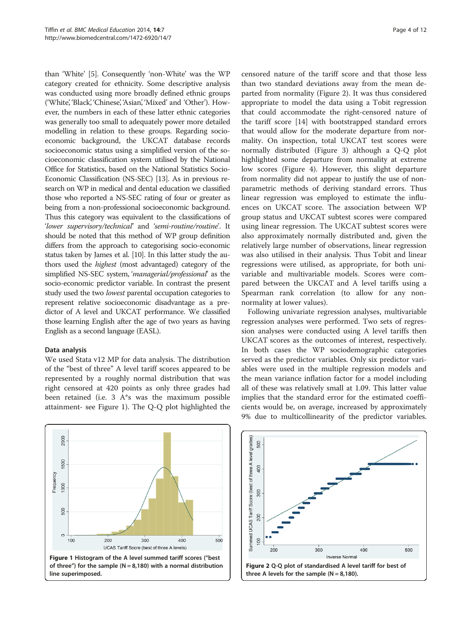than 'White' [[5](#page-12-0)]. Consequently 'non-White' was the WP category created for ethnicity. Some descriptive analysis was conducted using more broadly defined ethnic groups ('White', 'Black', 'Chinese', 'Asian', 'Mixed' and 'Other'). However, the numbers in each of these latter ethnic categories was generally too small to adequately power more detailed modelling in relation to these groups. Regarding socioeconomic background, the UKCAT database records socioeconomic status using a simplified version of the socioeconomic classification system utilised by the National Office for Statistics, based on the National Statistics Socio-Economic Classification (NS-SEC) [\[13\]](#page-12-0). As in previous research on WP in medical and dental education we classified those who reported a NS-SEC rating of four or greater as being from a non-professional socioeconomic background. Thus this category was equivalent to the classifications of 'lower supervisory/technical' and 'semi-routine/routine'. It should be noted that this method of WP group definition differs from the approach to categorising socio-economic status taken by James et al. [\[10\]](#page-12-0). In this latter study the authors used the highest (most advantaged) category of the simplified NS-SEC system, '*managerial*/professional' as the socio-economic predictor variable. In contrast the present study used the two lowest parental occupation categories to represent relative socioeconomic disadvantage as a predictor of A level and UKCAT performance. We classified those learning English after the age of two years as having English as a second language (EASL).

#### Data analysis

We used Stata v12 MP for data analysis. The distribution of the "best of three" A level tariff scores appeared to be represented by a roughly normal distribution that was right censored at 420 points as only three grades had been retained (i.e. 3 A\*s was the maximum possible attainment- see Figure 1). The Q-Q plot highlighted the

censored nature of the tariff score and that those less than two standard deviations away from the mean departed from normality (Figure 2). It was thus considered appropriate to model the data using a Tobit regression that could accommodate the right-censored nature of the tariff score [[14\]](#page-12-0) with bootstrapped standard errors that would allow for the moderate departure from normality. On inspection, total UKCAT test scores were normally distributed (Figure [3\)](#page-5-0) although a Q-Q plot highlighted some departure from normality at extreme low scores (Figure [4\)](#page-5-0). However, this slight departure from normality did not appear to justify the use of nonparametric methods of deriving standard errors. Thus linear regression was employed to estimate the influences on UKCAT score. The association between WP group status and UKCAT subtest scores were compared using linear regression. The UKCAT subtest scores were also approximately normally distributed and, given the relatively large number of observations, linear regression was also utilised in their analysis. Thus Tobit and linear regressions were utilised, as appropriate, for both univariable and multivariable models. Scores were compared between the UKCAT and A level tariffs using a Spearman rank correlation (to allow for any nonnormality at lower values).

Following univariate regression analyses, multivariable regression analyses were performed. Two sets of regression analyses were conducted using A level tariffs then UKCAT scores as the outcomes of interest, respectively. In both cases the WP sociodemographic categories served as the predictor variables. Only six predictor variables were used in the multiple regression models and the mean variance inflation factor for a model including all of these was relatively small at 1.09. This latter value implies that the standard error for the estimated coefficients would be, on average, increased by approximately 9% due to multicollinearity of the predictor variables.



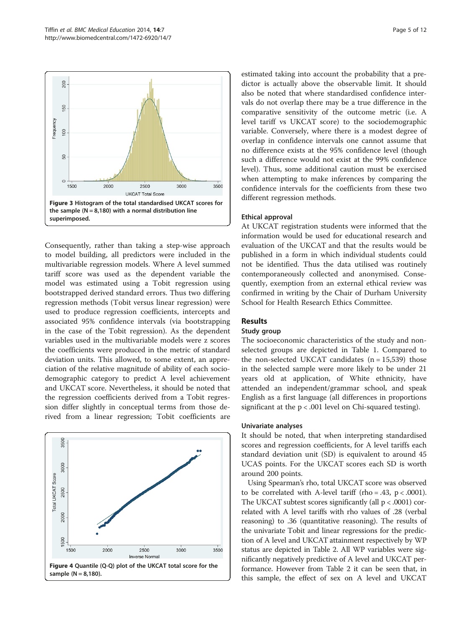<span id="page-5-0"></span>

Consequently, rather than taking a step-wise approach to model building, all predictors were included in the multivariable regression models. Where A level summed tariff score was used as the dependent variable the model was estimated using a Tobit regression using bootstrapped derived standard errors. Thus two differing regression methods (Tobit versus linear regression) were used to produce regression coefficients, intercepts and associated 95% confidence intervals (via bootstrapping in the case of the Tobit regression). As the dependent variables used in the multivariable models were z scores the coefficients were produced in the metric of standard deviation units. This allowed, to some extent, an appreciation of the relative magnitude of ability of each sociodemographic category to predict A level achievement and UKCAT score. Nevertheless, it should be noted that the regression coefficients derived from a Tobit regression differ slightly in conceptual terms from those derived from a linear regression; Tobit coefficients are



estimated taking into account the probability that a predictor is actually above the observable limit. It should also be noted that where standardised confidence intervals do not overlap there may be a true difference in the comparative sensitivity of the outcome metric (i.e. A level tariff vs UKCAT score) to the sociodemographic variable. Conversely, where there is a modest degree of overlap in confidence intervals one cannot assume that no difference exists at the 95% confidence level (though such a difference would not exist at the 99% confidence level). Thus, some additional caution must be exercised when attempting to make inferences by comparing the confidence intervals for the coefficients from these two different regression methods.

#### Ethical approval

At UKCAT registration students were informed that the information would be used for educational research and evaluation of the UKCAT and that the results would be published in a form in which individual students could not be identified. Thus the data utilised was routinely contemporaneously collected and anonymised. Consequently, exemption from an external ethical review was confirmed in writing by the Chair of Durham University School for Health Research Ethics Committee.

## Results

#### Study group

The socioeconomic characteristics of the study and nonselected groups are depicted in Table [1.](#page-6-0) Compared to the non-selected UKCAT candidates  $(n = 15,539)$  those in the selected sample were more likely to be under 21 years old at application, of White ethnicity, have attended an independent/grammar school, and speak English as a first language (all differences in proportions significant at the  $p < .001$  level on Chi-squared testing).

#### Univariate analyses

It should be noted, that when interpreting standardised scores and regression coefficients, for A level tariffs each standard deviation unit (SD) is equivalent to around 45 UCAS points. For the UKCAT scores each SD is worth around 200 points.

Using Spearman's rho, total UKCAT score was observed to be correlated with A-level tariff (rho = .43,  $p < .0001$ ). The UKCAT subtest scores significantly (all  $p < .0001$ ) correlated with A level tariffs with rho values of .28 (verbal reasoning) to .36 (quantitative reasoning). The results of the univariate Tobit and linear regressions for the prediction of A level and UKCAT attainment respectively by WP status are depicted in Table [2.](#page-6-0) All WP variables were significantly negatively predictive of A level and UKCAT performance. However from Table [2](#page-6-0) it can be seen that, in this sample, the effect of sex on A level and UKCAT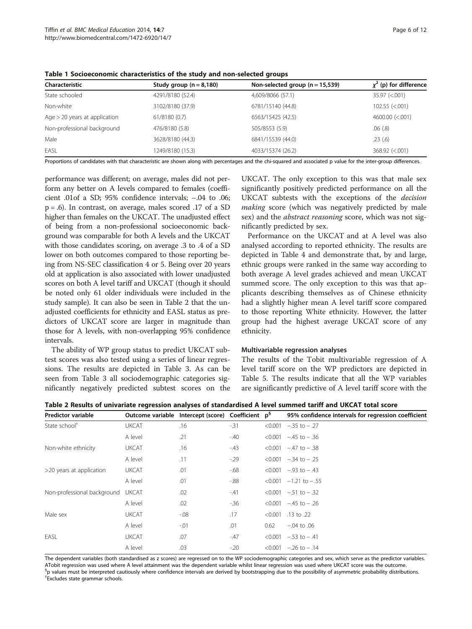<span id="page-6-0"></span>Table 1 Socioeconomic characteristics of the study and non-selected groups

EASL 1249/8180 (15.3) 4033/15374 (26.2) 4033/15374 (26.2) 368.92 (<.001) Proportions of candidates with that characteristic are shown along with percentages and the chi-squared and associated p value for the inter-group differences.

Age > 20 years at application  $61/8180(0.7)$  6563/15425 (42.5) 4600.00 (<.001) 4600.00 (<.001)

Non-professional background 476/8180 (5.8) 505/8553 (5.9) .06 (.8) .06 (.8) Male 3628/8180 (44.3) 6841/15539 (44.0) .23 (.6) .23 (.6)

performance was different; on average, males did not perform any better on A levels compared to females (coefficient .01of a SD; 95% confidence intervals; –.04 to .06; p = .6). In contrast, on average, males scored .17 of a SD higher than females on the UKCAT. The unadjusted effect of being from a non-professional socioeconomic background was comparable for both A levels and the UKCAT with those candidates scoring, on average .3 to .4 of a SD lower on both outcomes compared to those reporting being from NS-SEC classification 4 or 5. Being over 20 years old at application is also associated with lower unadjusted scores on both A level tariff and UKCAT (though it should be noted only 61 older individuals were included in the study sample). It can also be seen in Table 2 that the unadjusted coefficients for ethnicity and EASL status as predictors of UKCAT score are larger in magnitude than those for A levels, with non-overlapping 95% confidence intervals.

The ability of WP group status to predict UKCAT subtest scores was also tested using a series of linear regressions. The results are depicted in Table [3.](#page-7-0) As can be seen from Table [3](#page-7-0) all sociodemographic categories significantly negatively predicted subtest scores on the UKCAT. The only exception to this was that male sex significantly positively predicted performance on all the UKCAT subtests with the exceptions of the decision making score (which was negatively predicted by male sex) and the *abstract reasoning* score, which was not significantly predicted by sex.

Performance on the UKCAT and at A level was also analysed according to reported ethnicity. The results are depicted in Table [4](#page-7-0) and demonstrate that, by and large, ethnic groups were ranked in the same way according to both average A level grades achieved and mean UKCAT summed score. The only exception to this was that applicants describing themselves as of Chinese ethnicity had a slightly higher mean A level tariff score compared to those reporting White ethnicity. However, the latter group had the highest average UKCAT score of any ethnicity.

#### Multivariable regression analyses

The results of the Tobit multivariable regression of A level tariff score on the WP predictors are depicted in Table [5](#page-7-0). The results indicate that all the WP variables are significantly predictive of A level tariff score with the

Table 2 Results of univariate regression analyses of standardised A level summed tariff and UKCAT total score

| <b>Predictor variable</b>   | Outcome variable Intercept (score) Coefficient p <sup>§</sup> |         |       |         | 95% confidence intervals for regression coefficient |
|-----------------------------|---------------------------------------------------------------|---------|-------|---------|-----------------------------------------------------|
| State school <sup>†</sup>   | <b>UKCAT</b>                                                  | .16     | $-31$ |         | $< 0.001 - 0.35$ to $-0.27$                         |
|                             | A level                                                       | .21     | -.40  |         | $< 0.001 -45$ to $- .36$                            |
| Non-white ethnicity         | <b>UKCAT</b>                                                  | .16     | -.43  |         | $< 0.001 - 47$ to $- .38$                           |
|                             | A level                                                       | .11     | $-29$ |         | $< 0.001 - 0.34$ to $-0.25$                         |
| >20 years at application    | <b>UKCAT</b>                                                  | .01     | -.68  |         | $< 0.001 - .93$ to $- .43$                          |
|                             | A level                                                       | .01     | $-88$ |         | $< 0.001 -1.21$ to $- .55$                          |
| Non-professional background | UKCAT                                                         | .02     | $-41$ |         | $< 0.001 - 51$ to $- .32$                           |
|                             | A level                                                       | .02     | $-36$ |         | $< 0.001 - 45$ to $- .26$                           |
| Male sex                    | <b>UKCAT</b>                                                  | $-0.08$ | .17   | < 0.001 | .13 to .22                                          |
|                             | A level                                                       | $-.01$  | .01   | 0.62    | $-.04$ to $.06$                                     |
| EASL                        | <b>UKCAT</b>                                                  | .07     | $-47$ | < 0.001 | $-.53$ to $-.41$                                    |
|                             | A level                                                       | .03     | $-20$ |         | $< 0.001 - 0.26$ to $-0.14$                         |

The dependent variables (both standardised as z scores) are regressed on to the WP sociodemographic categories and sex, which serve as the predictor variables. ATobit regression was used where A level attainment was the dependent variable whilst linear regression was used where UKCAT score was the outcome. §p values must be interpreted cautiously where confidence intervals are derived by bootstrapping due to the possibility of asymmetric probability distributions.<br>I syckudes state grammas schools Excludes state grammar schools.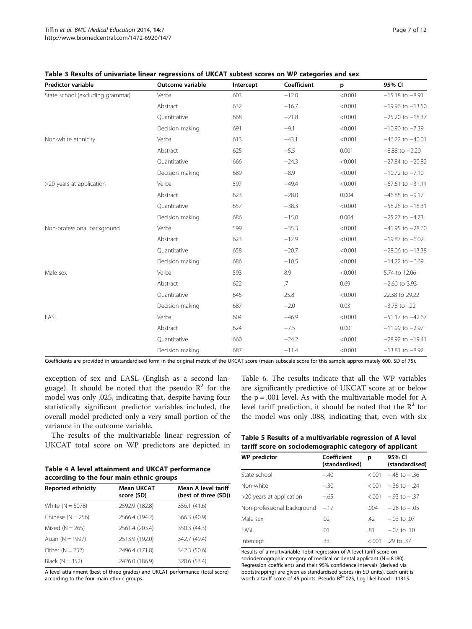| Predictor variable               | Outcome variable | Intercept | Coefficient    | p       | 95% CI               |
|----------------------------------|------------------|-----------|----------------|---------|----------------------|
| State school (excluding grammar) | Verbal           | 603       | $-12.0$        | < 0.001 | $-15.18$ to $-8.91$  |
|                                  | Abstract         | 632       | $-16.7$        | < 0.001 | $-19.96$ to $-13.50$ |
|                                  | Quantitative     | 668       | $-21.8$        | < 0.001 | $-25.20$ to $-18.37$ |
|                                  | Decision making  | 691       | $-9.1$         | < 0.001 | $-10.90$ to $-7.39$  |
| Non-white ethnicity              | Verbal           | 613       | $-43.1$        | < 0.001 | $-46.22$ to $-40.01$ |
|                                  | Abstract         | 625       | $-5.5$         | 0.001   | $-8.88$ to $-2.20$   |
|                                  | Quantitative     | 666       | $-24.3$        | < 0.001 | $-27.84$ to $-20.82$ |
|                                  | Decision making  | 689       | $-8.9$         | < 0.001 | $-10.72$ to $-7.10$  |
| >20 years at application         | Verbal           | 597       | $-49.4$        | < 0.001 | $-67.61$ to $-31.11$ |
|                                  | Abstract         | 623       | $-28.0$        | 0.004   | $-46.88$ to $-9.17$  |
|                                  | Quantitative     | 657       | $-38.3$        | < 0.001 | $-58.28$ to $-18.31$ |
|                                  | Decision making  | 686       | $-15.0$        | 0.004   | $-25.27$ to $-4.73$  |
| Non-professional background      | Verbal           | 599       | $-35.3$        | < 0.001 | $-41.95$ to $-28.60$ |
|                                  | Abstract         | 623       | $-12.9$        | < 0.001 | $-19.87$ to $-6.02$  |
|                                  | Quantitative     | 658       | $-20.7$        | < 0.001 | $-28.06$ to $-13.38$ |
|                                  | Decision making  | 686       | $-10.5$        | < 0.001 | $-14.22$ to $-6.69$  |
| Male sex                         | Verbal           | 593       | 8.9            | < 0.001 | 5.74 to 12.06        |
|                                  | Abstract         | 622       | $\overline{J}$ | 0.69    | $-2.60$ to 3.93      |
|                                  | Quantitative     | 645       | 25.8           | < 0.001 | 22.38 to 29.22       |
|                                  | Decision making  | 687       | $-2.0$         | 0.03    | $-3.78$ to $-.22$    |
| EASL                             | Verbal           | 604       | $-46.9$        | < 0.001 | $-51.17$ to $-42.67$ |
|                                  | Abstract         | 624       | $-7.5$         | 0.001   | $-11.99$ to $-2.97$  |
|                                  | Quantitative     | 660       | $-24.2$        | < 0.001 | $-28.92$ to $-19.41$ |
|                                  | Decision making  | 687       | $-11.4$        | < 0.001 | $-13.81$ to $-8.92$  |

<span id="page-7-0"></span>Table 3 Results of univariate linear regressions of UKCAT subtest scores on WP categories and sex

Coefficients are provided in unstandardised form in the original metric of the UKCAT score (mean subscale score for this sample approximately 600, SD of 75).

exception of sex and EASL (English as a second language). It should be noted that the pseudo  $R^2$  for the model was only .025, indicating that, despite having four statistically significant predictor variables included, the overall model predicted only a very small portion of the variance in the outcome variable.

The results of the multivariable linear regression of UKCAT total score on WP predictors are depicted in

|                                          |  | Table 4 A level attainment and UKCAT performance |
|------------------------------------------|--|--------------------------------------------------|
| according to the four main ethnic groups |  |                                                  |

| according to the roar mani-cumic groups |                                             |  |  |  |  |
|-----------------------------------------|---------------------------------------------|--|--|--|--|
| <b>Mean UKCAT</b><br>score (SD)         | Mean A level tariff<br>(best of three (SD)) |  |  |  |  |
| 2592.9 (182.8)                          | 356.1 (41.6)                                |  |  |  |  |
| 2566.4 (194.2)                          | 366.3 (40.9)                                |  |  |  |  |
| 2561.4 (203.4)                          | 350.3 (44.3)                                |  |  |  |  |
| 2513.9 (192.0)                          | 342.7 (49.4)                                |  |  |  |  |
| 2496.4 (171.8)                          | 342.3 (50.6)                                |  |  |  |  |
| 2426.0 (186.9)                          | 320.6 (53.4)                                |  |  |  |  |
|                                         |                                             |  |  |  |  |

A level attainment (best of three grades) and UKCAT performance (total score) according to the four main ethnic groups.

Table [6](#page-8-0). The results indicate that all the WP variables are significantly predictive of UKCAT score at or below the  $p = .001$  level. As with the multivariable model for A level tariff prediction, it should be noted that the  $\mathbb{R}^2$  for the model was only .088, indicating that, even with six

| Table 5 Results of a multivariable regression of A level |  |
|----------------------------------------------------------|--|
| tariff score on sociodemographic category of applicant   |  |

| <b>WP</b> predictor         | Coefficient<br>(standardised) | р      | 95% CI<br>(standardised)    |
|-----------------------------|-------------------------------|--------|-----------------------------|
| State school                | $-40$                         | < 001  | $-45$ to $-36$              |
| Non-white                   | $-.30$                        |        | $< 0.001 - 0.36$ to $-0.24$ |
| >20 years at application    | $-65$                         | < 001  | $-93$ to $-37$              |
| Non-professional background | $-.17$                        | .004   | $-28$ to $-0.05$            |
| Male sex                    | .02                           | .42    | $-0.03$ to 0.07             |
| FASI                        | .01                           | .81    | $-.07$ to $.10$             |
| Intercept                   | .33                           | < 0.01 | .29 to .37                  |

Results of a multivariable Tobit regression of A level tariff score on sociodemographic category of medical or dental applicant (N = 8180). Regression coefficients and their 95% confidence intervals (derived via bootstrapping) are given as standardised scores (in SD units). Each unit is worth a tariff score of 45 points. Pseudo R<sup>2=</sup>.025, Log likelihood −11315.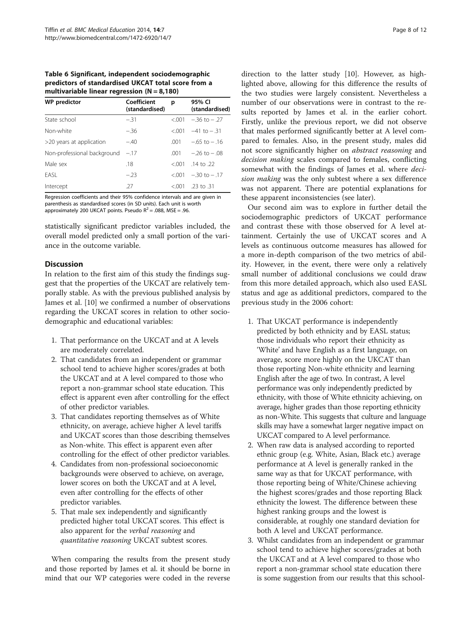<span id="page-8-0"></span>Table 6 Significant, independent sociodemographic predictors of standardised UKCAT total score from a multivariable linear regression  $(N = 8,180)$ 

| WP predictor                | Coefficient<br>(standardised) | р      | 95% CI<br>(standardised) |
|-----------------------------|-------------------------------|--------|--------------------------|
| State school                | $-31$                         | < 0.01 | $-.36$ to $-.27$         |
| Non-white                   | $-.36$                        | < 0.01 | $-41$ to $-31$           |
| >20 years at application    | $-40$                         | .001   | $-65$ to $-16$           |
| Non-professional background | $-.17$                        | .001   | $-26$ to $-0.08$         |
| Male sex                    | .18                           | < 0.01 | $.14$ to $.22$           |
| FASI                        | $-23$                         | < 0.01 | $-30$ to $-17$           |
| Intercept                   | 27                            | < 001  | .23 to .31               |

Regression coefficients and their 95% confidence intervals and are given in parenthesis as standardised scores (in SD units). Each unit is worth approximately 200 UKCAT points. Pseudo  $R^2$  = .088, MSE = .96.

statistically significant predictor variables included, the overall model predicted only a small portion of the variance in the outcome variable.

## **Discussion**

In relation to the first aim of this study the findings suggest that the properties of the UKCAT are relatively temporally stable. As with the previous published analysis by James et al. [[10\]](#page-12-0) we confirmed a number of observations regarding the UKCAT scores in relation to other sociodemographic and educational variables:

- 1. That performance on the UKCAT and at A levels are moderately correlated.
- 2. That candidates from an independent or grammar school tend to achieve higher scores/grades at both the UKCAT and at A level compared to those who report a non-grammar school state education. This effect is apparent even after controlling for the effect of other predictor variables.
- 3. That candidates reporting themselves as of White ethnicity, on average, achieve higher A level tariffs and UKCAT scores than those describing themselves as Non-white. This effect is apparent even after controlling for the effect of other predictor variables.
- 4. Candidates from non-professional socioeconomic backgrounds were observed to achieve, on average, lower scores on both the UKCAT and at A level, even after controlling for the effects of other predictor variables.
- 5. That male sex independently and significantly predicted higher total UKCAT scores. This effect is also apparent for the verbal reasoning and quantitative reasoning UKCAT subtest scores.

When comparing the results from the present study and those reported by James et al. it should be borne in mind that our WP categories were coded in the reverse

direction to the latter study [\[10\]](#page-12-0). However, as highlighted above, allowing for this difference the results of the two studies were largely consistent. Nevertheless a number of our observations were in contrast to the results reported by James et al. in the earlier cohort. Firstly, unlike the previous report, we did not observe that males performed significantly better at A level compared to females. Also, in the present study, males did not score significantly higher on abstract reasoning and decision making scales compared to females, conflicting somewhat with the findings of James et al. where decision making was the only subtest where a sex difference was not apparent. There are potential explanations for these apparent inconsistencies (see later).

Our second aim was to explore in further detail the sociodemographic predictors of UKCAT performance and contrast these with those observed for A level attainment. Certainly the use of UKCAT scores and A levels as continuous outcome measures has allowed for a more in-depth comparison of the two metrics of ability. However, in the event, there were only a relatively small number of additional conclusions we could draw from this more detailed approach, which also used EASL status and age as additional predictors, compared to the previous study in the 2006 cohort:

- 1. That UKCAT performance is independently predicted by both ethnicity and by EASL status; those individuals who report their ethnicity as 'White' and have English as a first language, on average, score more highly on the UKCAT than those reporting Non-white ethnicity and learning English after the age of two. In contrast, A level performance was only independently predicted by ethnicity, with those of White ethnicity achieving, on average, higher grades than those reporting ethnicity as non-White. This suggests that culture and language skills may have a somewhat larger negative impact on UKCAT compared to A level performance.
- 2. When raw data is analysed according to reported ethnic group (e.g. White, Asian, Black etc.) average performance at A level is generally ranked in the same way as that for UKCAT performance, with those reporting being of White/Chinese achieving the highest scores/grades and those reporting Black ethnicity the lowest. The difference between these highest ranking groups and the lowest is considerable, at roughly one standard deviation for both A level and UKCAT performance.
- 3. Whilst candidates from an independent or grammar school tend to achieve higher scores/grades at both the UKCAT and at A level compared to those who report a non-grammar school state education there is some suggestion from our results that this school-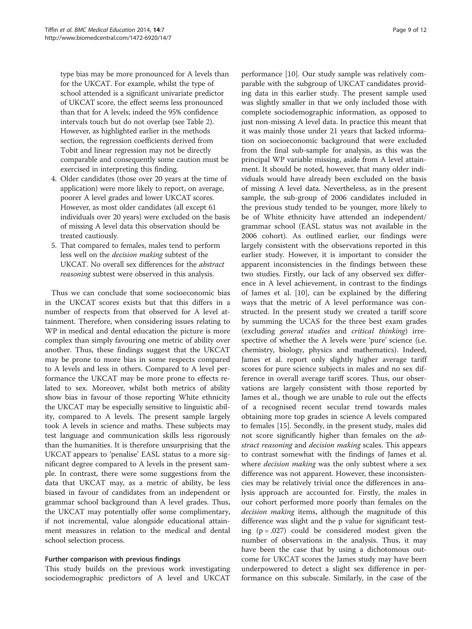type bias may be more pronounced for A levels than for the UKCAT. For example, whilst the type of school attended is a significant univariate predictor of UKCAT score, the effect seems less pronounced than that for A levels; indeed the 95% confidence intervals touch but do not overlap (see Table [2\)](#page-6-0). However, as highlighted earlier in the methods section, the regression coefficients derived from Tobit and linear regression may not be directly comparable and consequently some caution must be exercised in interpreting this finding.

- 4. Older candidates (those over 20 years at the time of application) were more likely to report, on average, poorer A level grades and lower UKCAT scores. However, as most older candidates (all except 61 individuals over 20 years) were excluded on the basis of missing A level data this observation should be treated cautiously.
- 5. That compared to females, males tend to perform less well on the decision making subtest of the UKCAT. No overall sex differences for the abstract reasoning subtest were observed in this analysis.

Thus we can conclude that some socioeconomic bias in the UKCAT scores exists but that this differs in a number of respects from that observed for A level attainment. Therefore, when considering issues relating to WP in medical and dental education the picture is more complex than simply favouring one metric of ability over another. Thus, these findings suggest that the UKCAT may be prone to more bias in some respects compared to A levels and less in others. Compared to A level performance the UKCAT may be more prone to effects related to sex. Moreover, whilst both metrics of ability show bias in favour of those reporting White ethnicity the UKCAT may be especially sensitive to linguistic ability, compared to A levels. The present sample largely took A levels in science and maths. These subjects may test language and communication skills less rigorously than the humanities. It is therefore unsurprising that the UKCAT appears to 'penalise' EASL status to a more significant degree compared to A levels in the present sample. In contrast, there were some suggestions from the data that UKCAT may, as a metric of ability, be less biased in favour of candidates from an independent or grammar school background than A level grades. Thus, the UKCAT may potentially offer some complimentary, if not incremental, value alongside educational attainment measures in relation to the medical and dental school selection process.

#### Further comparison with previous findings

This study builds on the previous work investigating sociodemographic predictors of A level and UKCAT

performance [[10\]](#page-12-0). Our study sample was relatively comparable with the subgroup of UKCAT candidates providing data in this earlier study. The present sample used was slightly smaller in that we only included those with complete sociodemographic information, as opposed to just non-missing A level data. In practice this meant that it was mainly those under 21 years that lacked information on socioeconomic background that were excluded from the final sub-sample for analysis, as this was the principal WP variable missing, aside from A level attainment. It should be noted, however, that many older individuals would have already been excluded on the basis of missing A level data. Nevertheless, as in the present sample, the sub-group of 2006 candidates included in the previous study tended to be younger, more likely to be of White ethnicity have attended an independent/ grammar school (EASL status was not available in the 2006 cohort). As outlined earlier, our findings were largely consistent with the observations reported in this earlier study. However, it is important to consider the apparent inconsistencies in the findings between these two studies. Firstly, our lack of any observed sex difference in A level achievement, in contrast to the findings of James et al. [\[10](#page-12-0)], can be explained by the differing ways that the metric of A level performance was constructed. In the present study we created a tariff score by summing the UCAS for the three best exam grades (excluding general studies and critical thinking) irrespective of whether the A levels were 'pure' science (i.e. chemistry, biology, physics and mathematics). Indeed, James et al. report only slightly higher average tariff scores for pure science subjects in males and no sex difference in overall average tariff scores. Thus, our observations are largely consistent with those reported by James et al., though we are unable to rule out the effects of a recognised recent secular trend towards males obtaining more top grades in science A levels compared to females [[15](#page-12-0)]. Secondly, in the present study, males did not score significantly higher than females on the abstract reasoning and decision making scales. This appears to contrast somewhat with the findings of James et al. where *decision making* was the only subtest where a sex difference was not apparent. However, these inconsistencies may be relatively trivial once the differences in analysis approach are accounted for. Firstly, the males in our cohort performed more poorly than females on the decision making items, although the magnitude of this difference was slight and the p value for significant testing  $(p = .027)$  could be considered modest given the number of observations in the analysis. Thus, it may have been the case that by using a dichotomous outcome for UKCAT scores the James study may have been underpowered to detect a slight sex difference in performance on this subscale. Similarly, in the case of the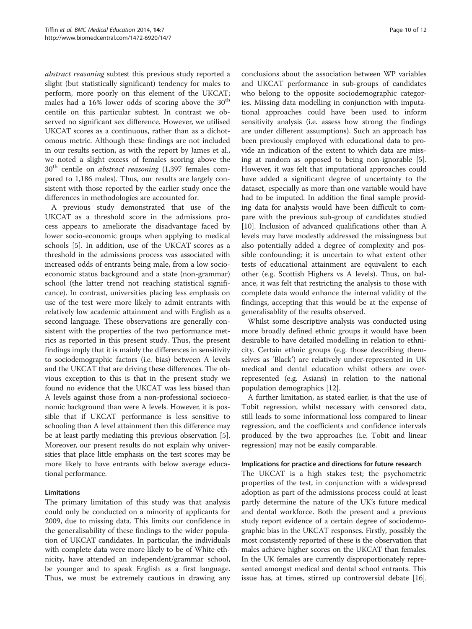abstract reasoning subtest this previous study reported a slight (but statistically significant) tendency for males to perform, more poorly on this element of the UKCAT; males had a  $16\%$  lower odds of scoring above the  $30<sup>th</sup>$ centile on this particular subtest. In contrast we observed no significant sex difference. However, we utilised UKCAT scores as a continuous, rather than as a dichotomous metric. Although these findings are not included in our results section, as with the report by James et al., we noted a slight excess of females scoring above the  $30<sup>th</sup>$  centile on *abstract reasoning* (1,397 females compared to 1,186 males). Thus, our results are largely consistent with those reported by the earlier study once the differences in methodologies are accounted for.

A previous study demonstrated that use of the UKCAT as a threshold score in the admissions process appears to ameliorate the disadvantage faced by lower socio-economic groups when applying to medical schools [\[5\]](#page-12-0). In addition, use of the UKCAT scores as a threshold in the admissions process was associated with increased odds of entrants being male, from a low socioeconomic status background and a state (non-grammar) school (the latter trend not reaching statistical significance). In contrast, universities placing less emphasis on use of the test were more likely to admit entrants with relatively low academic attainment and with English as a second language. These observations are generally consistent with the properties of the two performance metrics as reported in this present study. Thus, the present findings imply that it is mainly the differences in sensitivity to sociodemographic factors (i.e. bias) between A levels and the UKCAT that are driving these differences. The obvious exception to this is that in the present study we found no evidence that the UKCAT was less biased than A levels against those from a non-professional socioeconomic background than were A levels. However, it is possible that if UKCAT performance is less sensitive to schooling than A level attainment then this difference may be at least partly mediating this previous observation [[5](#page-12-0)]. Moreover, our present results do not explain why universities that place little emphasis on the test scores may be more likely to have entrants with below average educational performance.

## Limitations

The primary limitation of this study was that analysis could only be conducted on a minority of applicants for 2009, due to missing data. This limits our confidence in the generalisability of these findings to the wider population of UKCAT candidates. In particular, the individuals with complete data were more likely to be of White ethnicity, have attended an independent/grammar school, be younger and to speak English as a first language. Thus, we must be extremely cautious in drawing any

conclusions about the association between WP variables and UKCAT performance in sub-groups of candidates who belong to the opposite sociodemographic categories. Missing data modelling in conjunction with imputational approaches could have been used to inform sensitivity analysis (i.e. assess how strong the findings are under different assumptions). Such an approach has been previously employed with educational data to provide an indication of the extent to which data are missing at random as opposed to being non-ignorable [\[5](#page-12-0)]. However, it was felt that imputational approaches could have added a significant degree of uncertainty to the dataset, especially as more than one variable would have had to be imputed. In addition the final sample providing data for analysis would have been difficult to compare with the previous sub-group of candidates studied [[10\]](#page-12-0). Inclusion of advanced qualifications other than A levels may have modestly addressed the missingness but also potentially added a degree of complexity and possible confounding; it is uncertain to what extent other tests of educational attainment are equivalent to each other (e.g. Scottish Highers vs A levels). Thus, on balance, it was felt that restricting the analysis to those with complete data would enhance the internal validity of the findings, accepting that this would be at the expense of generalisablity of the results observed.

Whilst some descriptive analysis was conducted using more broadly defined ethnic groups it would have been desirable to have detailed modelling in relation to ethnicity. Certain ethnic groups (e.g. those describing themselves as 'Black') are relatively under-represented in UK medical and dental education whilst others are overrepresented (e.g. Asians) in relation to the national population demographics [[12\]](#page-12-0).

A further limitation, as stated earlier, is that the use of Tobit regression, whilst necessary with censored data, still leads to some informational loss compared to linear regression, and the coefficients and confidence intervals produced by the two approaches (i.e. Tobit and linear regression) may not be easily comparable.

## Implications for practice and directions for future research

The UKCAT is a high stakes test; the psychometric properties of the test, in conjunction with a widespread adoption as part of the admissions process could at least partly determine the nature of the UK's future medical and dental workforce. Both the present and a previous study report evidence of a certain degree of sociodemographic bias in the UKCAT responses. Firstly, possibly the most consistently reported of these is the observation that males achieve higher scores on the UKCAT than females. In the UK females are currently disproportionately represented amongst medical and dental school entrants. This issue has, at times, stirred up controversial debate [[16](#page-12-0)].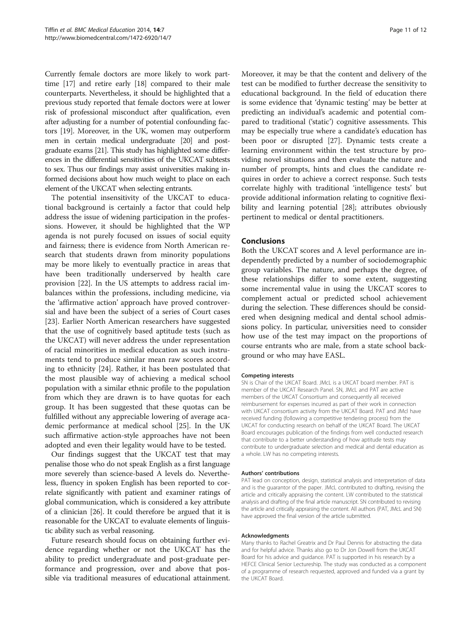Currently female doctors are more likely to work parttime [[17](#page-12-0)] and retire early [[18](#page-12-0)] compared to their male counterparts. Nevertheless, it should be highlighted that a previous study reported that female doctors were at lower risk of professional misconduct after qualification, even after adjusting for a number of potential confounding factors [\[19\]](#page-12-0). Moreover, in the UK, women may outperform men in certain medical undergraduate [[20](#page-12-0)] and postgraduate exams [[21\]](#page-12-0). This study has highlighted some differences in the differential sensitivities of the UKCAT subtests to sex. Thus our findings may assist universities making informed decisions about how much weight to place on each element of the UKCAT when selecting entrants.

The potential insensitivity of the UKCAT to educational background is certainly a factor that could help address the issue of widening participation in the professions. However, it should be highlighted that the WP agenda is not purely focused on issues of social equity and fairness; there is evidence from North American research that students drawn from minority populations may be more likely to eventually practice in areas that have been traditionally underserved by health care provision [\[22](#page-12-0)]. In the US attempts to address racial imbalances within the professions, including medicine, via the 'affirmative action' approach have proved controversial and have been the subject of a series of Court cases [[23\]](#page-12-0). Earlier North American researchers have suggested that the use of cognitively based aptitude tests (such as the UKCAT) will never address the under representation of racial minorities in medical education as such instruments tend to produce similar mean raw scores according to ethnicity [\[24](#page-12-0)]. Rather, it has been postulated that the most plausible way of achieving a medical school population with a similar ethnic profile to the population from which they are drawn is to have quotas for each group. It has been suggested that these quotas can be fulfilled without any appreciable lowering of average academic performance at medical school [[25\]](#page-12-0). In the UK such affirmative action-style approaches have not been adopted and even their legality would have to be tested.

Our findings suggest that the UKCAT test that may penalise those who do not speak English as a first language more severely than science-based A levels do. Nevertheless, fluency in spoken English has been reported to correlate significantly with patient and examiner ratings of global communication, which is considered a key attribute of a clinician [[26](#page-12-0)]. It could therefore be argued that it is reasonable for the UKCAT to evaluate elements of linguistic ability such as verbal reasoning.

Future research should focus on obtaining further evidence regarding whether or not the UKCAT has the ability to predict undergraduate and post-graduate performance and progression, over and above that possible via traditional measures of educational attainment. Moreover, it may be that the content and delivery of the test can be modified to further decrease the sensitivity to educational background. In the field of education there is some evidence that 'dynamic testing' may be better at predicting an individual's academic and potential compared to traditional ('static') cognitive assessments. This may be especially true where a candidate's education has been poor or disrupted [[27\]](#page-12-0). Dynamic tests create a learning environment within the test structure by providing novel situations and then evaluate the nature and number of prompts, hints and clues the candidate requires in order to achieve a correct response. Such tests correlate highly with traditional 'intelligence tests' but provide additional information relating to cognitive flexibility and learning potential [[28\]](#page-12-0); attributes obviously pertinent to medical or dental practitioners.

#### Conclusions

Both the UKCAT scores and A level performance are independently predicted by a number of sociodemographic group variables. The nature, and perhaps the degree, of these relationships differ to some extent, suggesting some incremental value in using the UKCAT scores to complement actual or predicted school achievement during the selection. These differences should be considered when designing medical and dental school admissions policy. In particular, universities need to consider how use of the test may impact on the proportions of course entrants who are male, from a state school background or who may have EASL.

#### Competing interests

SN is Chair of the UKCAT Board. JMcL is a UKCAT board member. PAT is member of the UKCAT Research Panel. SN, JMcL and PAT are active members of the UKCAT Consortium and consequently all received reimbursement for expenses incurred as part of their work in connection with UKCAT consortium activity from the UKCAT Board. PAT and JMcl have received funding (following a competitive tendering process) from the UKCAT for conducting research on behalf of the UKCAT Board. The UKCAT Board encourages publication of the findings from well conducted research that contribute to a better understanding of how aptitude tests may contribute to undergraduate selection and medical and dental education as a whole. LW has no competing interests.

#### Authors' contributions

PAT lead on conception, design, statistical analysis and interpretation of data and is the guarantor of the paper. JMcL contributed to drafting, revising the article and critically appraising the content. LW contributed to the statistical analysis and drafting of the final article manuscript. SN contributed to revising the article and critically appraising the content. All authors (PAT, JMcL and SN) have approved the final version of the article submitted.

#### Acknowledgments

Many thanks to Rachel Greatrix and Dr Paul Dennis for abstracting the data and for helpful advice. Thanks also go to Dr Jon Dowell from the UKCAT Board for his advice and guidance. PAT is supported in his research by a HEFCE Clinical Senior Lectureship. The study was conducted as a component of a programme of research requested, approved and funded via a grant by the UKCAT Board.